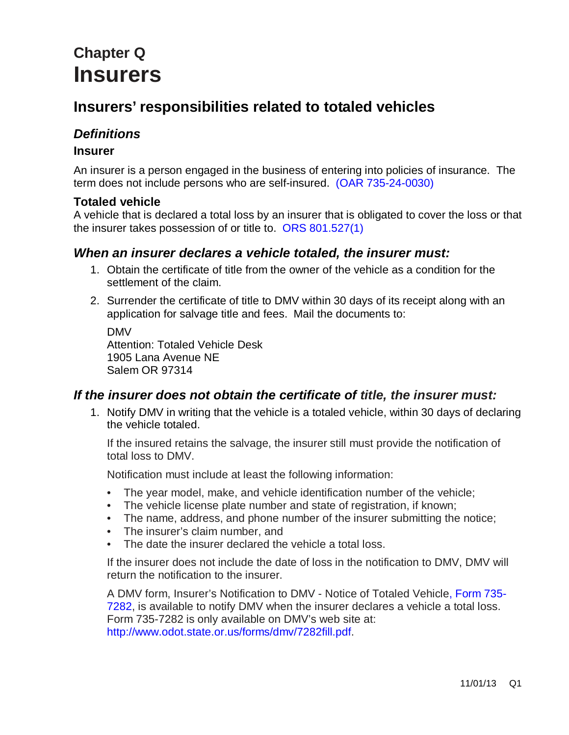# **Chapter Q Insurers**

# **Insurers' responsibilities related to totaled vehicles**

# *Definitions*

#### **Insurer**

An insurer is a person engaged in the business of entering into policies of insurance. The term does not include persons who are self-insured. [\(OAR 735-24-0030\)](http://arcweb.sos.state.or.us/pages/rules/oars_700/oar_735/735_024.html)

#### **Totaled vehicle**

A vehicle that is declared a total loss by an insurer that is obligated to cover the loss or that the insurer takes possession of or title to. [ORS 801.527\(1\)](http://www.oregon.gov/ODOT/DMV/docs/vcb/VCB801.pdf)

#### *When an insurer declares a vehicle totaled, the insurer must:*

- 1. Obtain the certificate of title from the owner of the vehicle as a condition for the settlement of the claim.
- 2. Surrender the certificate of title to DMV within 30 days of its receipt along with an application for salvage title and fees. Mail the documents to:

DMV Attention: Totaled Vehicle Desk 1905 Lana Avenue NE Salem OR 97314

## *If the insurer does not obtain the certificate of title, the insurer must:*

1. Notify DMV in writing that the vehicle is a totaled vehicle, within 30 days of declaring the vehicle totaled.

If the insured retains the salvage, the insurer still must provide the notification of total loss to DMV.

Notification must include at least the following information:

- The year model, make, and vehicle identification number of the vehicle;
- The vehicle license plate number and state of registration, if known;
- The name, address, and phone number of the insurer submitting the notice;
- The insurer's claim number, and
- The date the insurer declared the vehicle a total loss.

If the insurer does not include the date of loss in the notification to DMV, DMV will return the notification to the insurer.

A DMV form, Insurer's Notification to DMV - Notice of Totaled Vehicle, [Form 735-](http://www.odot.state.or.us/forms/dmv/7282fill.pdf) [7282,](http://www.odot.state.or.us/forms/dmv/7282fill.pdf) is available to notify DMV when the insurer declares a vehicle a total loss. Form 735-7282 is only available on DMV's web site at: [http://www.odot.state.or.us/forms/dmv/7282fill.pdf.](http://www.odot.state.or.us/forms/dmv/7282fill.pdf)

11/01/13 Q1